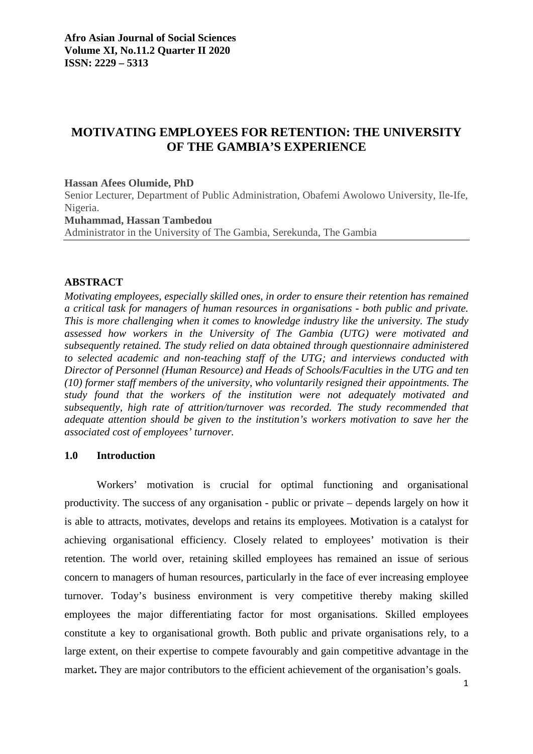# **MOTIVATING EMPLOYEES FOR RETENTION: THE UNIVERSITY OF THE GAMBIA'S EXPERIENCE**

#### **Hassan Afees Olumide, PhD**

Senior Lecturer, Department of Public Administration, Obafemi Awolowo University, Ile-Ife, Nigeria.

**Muhammad, Hassan Tambedou** 

Administrator in the University of The Gambia, Serekunda, The Gambia

### **ABSTRACT**

*Motivating employees, especially skilled ones, in order to ensure their retention has remained a critical task for managers of human resources in organisations - both public and private. This is more challenging when it comes to knowledge industry like the university. The study assessed how workers in the University of The Gambia (UTG) were motivated and subsequently retained. The study relied on data obtained through questionnaire administered to selected academic and non-teaching staff of the UTG; and interviews conducted with Director of Personnel (Human Resource) and Heads of Schools/Faculties in the UTG and ten (10) former staff members of the university, who voluntarily resigned their appointments. The study found that the workers of the institution were not adequately motivated and subsequently, high rate of attrition/turnover was recorded. The study recommended that adequate attention should be given to the institution's workers motivation to save her the associated cost of employees' turnover.* 

### **1.0 Introduction**

Workers' motivation is crucial for optimal functioning and organisational productivity. The success of any organisation - public or private – depends largely on how it is able to attracts, motivates, develops and retains its employees. Motivation is a catalyst for achieving organisational efficiency. Closely related to employees' motivation is their retention. The world over, retaining skilled employees has remained an issue of serious concern to managers of human resources, particularly in the face of ever increasing employee turnover. Today's business environment is very competitive thereby making skilled employees the major differentiating factor for most organisations. Skilled employees constitute a key to organisational growth. Both public and private organisations rely, to a large extent, on their expertise to compete favourably and gain competitive advantage in the market. They are major contributors to the efficient achievement of the organisation's goals.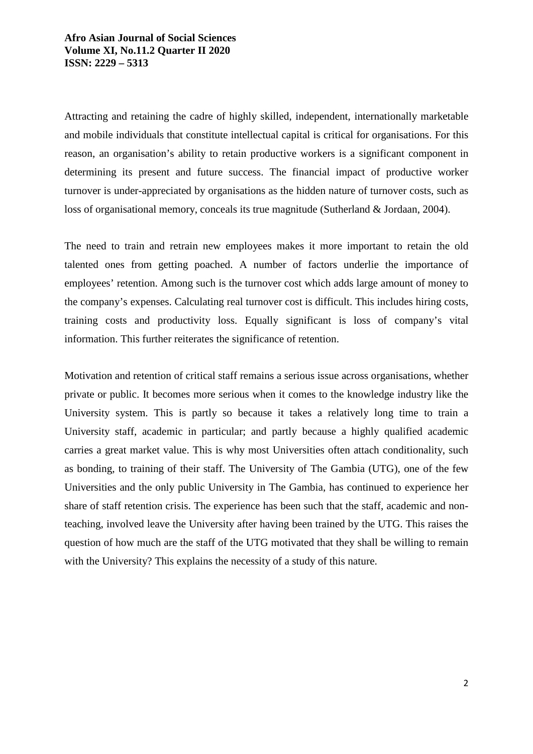Attracting and retaining the cadre of highly skilled, independent, internationally marketable and mobile individuals that constitute intellectual capital is critical for organisations. For this reason, an organisation's ability to retain productive workers is a significant component in determining its present and future success. The financial impact of productive worker turnover is under-appreciated by organisations as the hidden nature of turnover costs, such as loss of organisational memory, conceals its true magnitude (Sutherland & Jordaan, 2004).

The need to train and retrain new employees makes it more important to retain the old talented ones from getting poached. A number of factors underlie the importance of employees' retention. Among such is the turnover cost which adds large amount of money to the company's expenses. Calculating real turnover cost is difficult. This includes hiring costs, training costs and productivity loss. Equally significant is loss of company's vital information. This further reiterates the significance of retention.

Motivation and retention of critical staff remains a serious issue across organisations, whether private or public. It becomes more serious when it comes to the knowledge industry like the University system. This is partly so because it takes a relatively long time to train a University staff, academic in particular; and partly because a highly qualified academic carries a great market value. This is why most Universities often attach conditionality, such as bonding, to training of their staff. The University of The Gambia (UTG), one of the few Universities and the only public University in The Gambia, has continued to experience her share of staff retention crisis. The experience has been such that the staff, academic and nonteaching, involved leave the University after having been trained by the UTG. This raises the question of how much are the staff of the UTG motivated that they shall be willing to remain with the University? This explains the necessity of a study of this nature.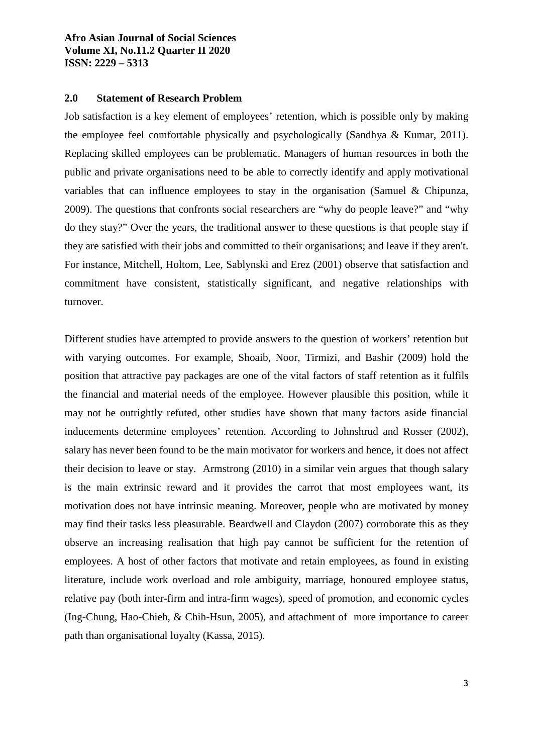### **2.0 Statement of Research Problem**

Job satisfaction is a key element of employees' retention, which is possible only by making the employee feel comfortable physically and psychologically (Sandhya & Kumar, 2011). Replacing skilled employees can be problematic. Managers of human resources in both the public and private organisations need to be able to correctly identify and apply motivational variables that can influence employees to stay in the organisation (Samuel & Chipunza, 2009). The questions that confronts social researchers are "why do people leave?" and "why do they stay?" Over the years, the traditional answer to these questions is that people stay if they are satisfied with their jobs and committed to their organisations; and leave if they aren't. For instance, Mitchell, Holtom, Lee, Sablynski and Erez (2001) observe that satisfaction and commitment have consistent, statistically significant, and negative relationships with turnover.

Different studies have attempted to provide answers to the question of workers' retention but with varying outcomes. For example, Shoaib, Noor, Tirmizi, and Bashir (2009) hold the position that attractive pay packages are one of the vital factors of staff retention as it fulfils the financial and material needs of the employee. However plausible this position, while it may not be outrightly refuted, other studies have shown that many factors aside financial inducements determine employees' retention. According to Johnshrud and Rosser (2002), salary has never been found to be the main motivator for workers and hence, it does not affect their decision to leave or stay. Armstrong (2010) in a similar vein argues that though salary is the main extrinsic reward and it provides the carrot that most employees want, its motivation does not have intrinsic meaning. Moreover, people who are motivated by money may find their tasks less pleasurable. Beardwell and Claydon (2007) corroborate this as they observe an increasing realisation that high pay cannot be sufficient for the retention of employees. A host of other factors that motivate and retain employees, as found in existing literature, include work overload and role ambiguity, marriage, honoured employee status, relative pay (both inter-firm and intra-firm wages), speed of promotion, and economic cycles (Ing-Chung, Hao-Chieh, & Chih-Hsun, 2005), and attachment of more importance to career path than organisational loyalty (Kassa, 2015).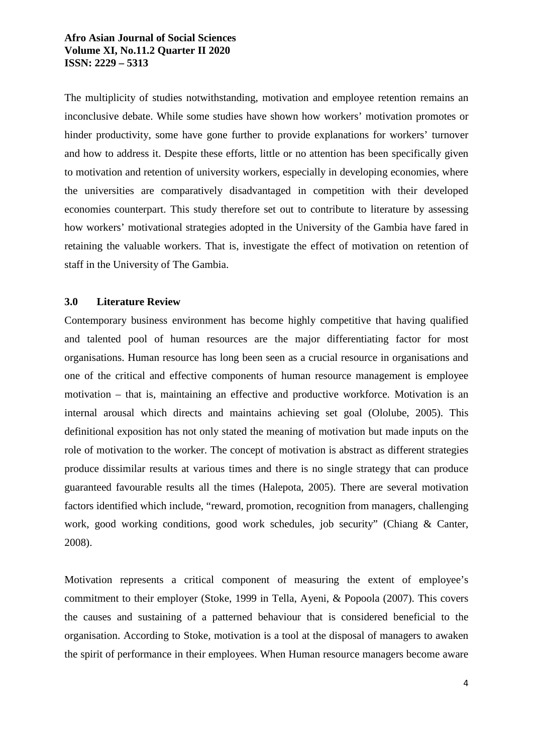The multiplicity of studies notwithstanding, motivation and employee retention remains an inconclusive debate. While some studies have shown how workers' motivation promotes or hinder productivity, some have gone further to provide explanations for workers' turnover and how to address it. Despite these efforts, little or no attention has been specifically given to motivation and retention of university workers, especially in developing economies, where the universities are comparatively disadvantaged in competition with their developed economies counterpart. This study therefore set out to contribute to literature by assessing how workers' motivational strategies adopted in the University of the Gambia have fared in retaining the valuable workers. That is, investigate the effect of motivation on retention of staff in the University of The Gambia.

### **3.0 Literature Review**

Contemporary business environment has become highly competitive that having qualified and talented pool of human resources are the major differentiating factor for most organisations. Human resource has long been seen as a crucial resource in organisations and one of the critical and effective components of human resource management is employee motivation – that is, maintaining an effective and productive workforce. Motivation is an internal arousal which directs and maintains achieving set goal (Ololube, 2005). This definitional exposition has not only stated the meaning of motivation but made inputs on the role of motivation to the worker. The concept of motivation is abstract as different strategies produce dissimilar results at various times and there is no single strategy that can produce guaranteed favourable results all the times (Halepota, 2005). There are several motivation factors identified which include, "reward, promotion, recognition from managers, challenging work, good working conditions, good work schedules, job security" (Chiang & Canter, 2008).

Motivation represents a critical component of measuring the extent of employee's commitment to their employer (Stoke, 1999 in Tella, Ayeni, & Popoola (2007). This covers the causes and sustaining of a patterned behaviour that is considered beneficial to the organisation. According to Stoke, motivation is a tool at the disposal of managers to awaken the spirit of performance in their employees. When Human resource managers become aware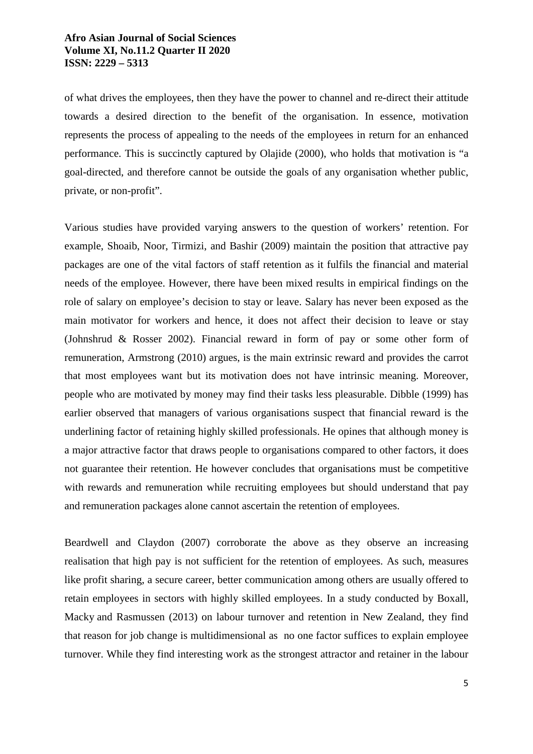of what drives the employees, then they have the power to channel and re-direct their attitude towards a desired direction to the benefit of the organisation. In essence, motivation represents the process of appealing to the needs of the employees in return for an enhanced performance. This is succinctly captured by Olajide (2000), who holds that motivation is "a goal-directed, and therefore cannot be outside the goals of any organisation whether public, private, or non-profit".

Various studies have provided varying answers to the question of workers' retention. For example, Shoaib, Noor, Tirmizi, and Bashir (2009) maintain the position that attractive pay packages are one of the vital factors of staff retention as it fulfils the financial and material needs of the employee. However, there have been mixed results in empirical findings on the role of salary on employee's decision to stay or leave. Salary has never been exposed as the main motivator for workers and hence, it does not affect their decision to leave or stay (Johnshrud & Rosser 2002). Financial reward in form of pay or some other form of remuneration, Armstrong (2010) argues, is the main extrinsic reward and provides the carrot that most employees want but its motivation does not have intrinsic meaning. Moreover, people who are motivated by money may find their tasks less pleasurable. Dibble (1999) has earlier observed that managers of various organisations suspect that financial reward is the underlining factor of retaining highly skilled professionals. He opines that although money is a major attractive factor that draws people to organisations compared to other factors, it does not guarantee their retention. He however concludes that organisations must be competitive with rewards and remuneration while recruiting employees but should understand that pay and remuneration packages alone cannot ascertain the retention of employees.

Beardwell and Claydon (2007) corroborate the above as they observe an increasing realisation that high pay is not sufficient for the retention of employees. As such, measures like profit sharing, a secure career, better communication among others are usually offered to retain employees in sectors with highly skilled employees. In a study conducted by Boxall, Macky and Rasmussen (2013) on labour turnover and retention in New Zealand, they find that reason for job change is multidimensional as no one factor suffices to explain employee turnover. While they find interesting work as the strongest attractor and retainer in the labour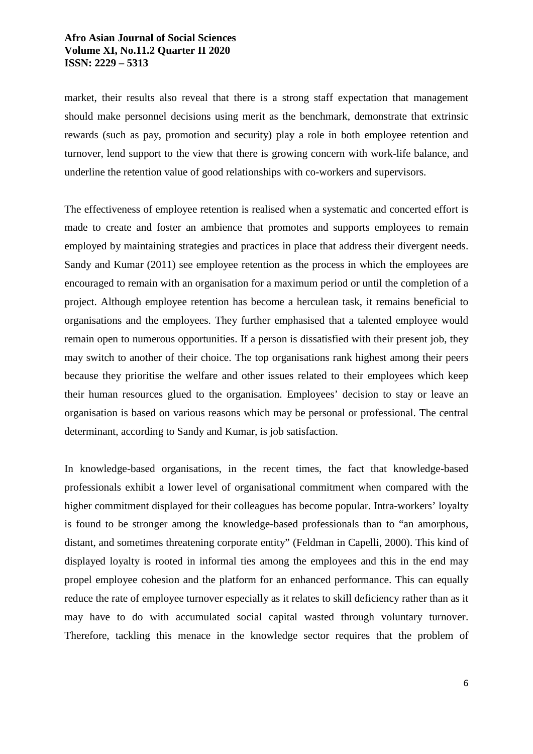market, their results also reveal that there is a strong staff expectation that management should make personnel decisions using merit as the benchmark, demonstrate that extrinsic rewards (such as pay, promotion and security) play a role in both employee retention and turnover, lend support to the view that there is growing concern with work-life balance, and underline the retention value of good relationships with co-workers and supervisors.

The effectiveness of employee retention is realised when a systematic and concerted effort is made to create and foster an ambience that promotes and supports employees to remain employed by maintaining strategies and practices in place that address their divergent needs. Sandy and Kumar (2011) see employee retention as the process in which the employees are encouraged to remain with an organisation for a maximum period or until the completion of a project. Although employee retention has become a herculean task, it remains beneficial to organisations and the employees. They further emphasised that a talented employee would remain open to numerous opportunities. If a person is dissatisfied with their present job, they may switch to another of their choice. The top organisations rank highest among their peers because they prioritise the welfare and other issues related to their employees which keep their human resources glued to the organisation. Employees' decision to stay or leave an organisation is based on various reasons which may be personal or professional. The central determinant, according to Sandy and Kumar, is job satisfaction.

In knowledge-based organisations, in the recent times, the fact that knowledge-based professionals exhibit a lower level of organisational commitment when compared with the higher commitment displayed for their colleagues has become popular. Intra-workers' loyalty is found to be stronger among the knowledge-based professionals than to "an amorphous, distant, and sometimes threatening corporate entity" (Feldman in Capelli, 2000). This kind of displayed loyalty is rooted in informal ties among the employees and this in the end may propel employee cohesion and the platform for an enhanced performance. This can equally reduce the rate of employee turnover especially as it relates to skill deficiency rather than as it may have to do with accumulated social capital wasted through voluntary turnover. Therefore, tackling this menace in the knowledge sector requires that the problem of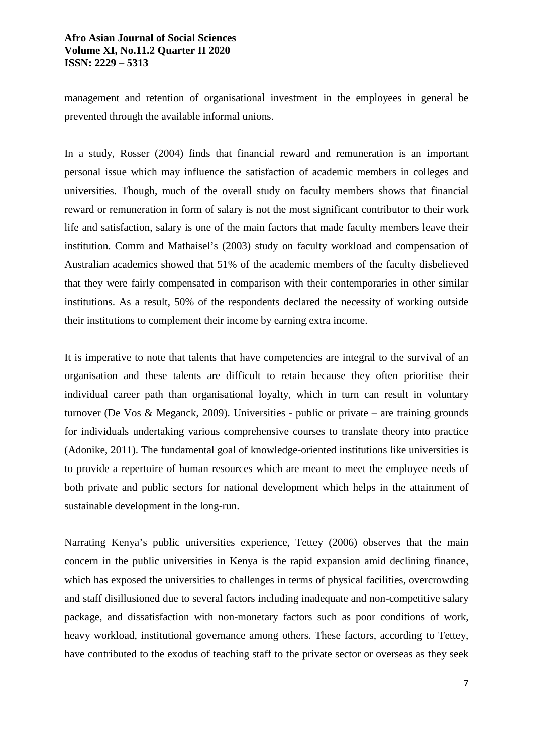management and retention of organisational investment in the employees in general be prevented through the available informal unions.

In a study, Rosser (2004) finds that financial reward and remuneration is an important personal issue which may influence the satisfaction of academic members in colleges and universities. Though, much of the overall study on faculty members shows that financial reward or remuneration in form of salary is not the most significant contributor to their work life and satisfaction, salary is one of the main factors that made faculty members leave their institution. Comm and Mathaisel's (2003) study on faculty workload and compensation of Australian academics showed that 51% of the academic members of the faculty disbelieved that they were fairly compensated in comparison with their contemporaries in other similar institutions. As a result, 50% of the respondents declared the necessity of working outside their institutions to complement their income by earning extra income.

It is imperative to note that talents that have competencies are integral to the survival of an organisation and these talents are difficult to retain because they often prioritise their individual career path than organisational loyalty, which in turn can result in voluntary turnover (De Vos & Meganck, 2009). Universities - public or private – are training grounds for individuals undertaking various comprehensive courses to translate theory into practice (Adonike, 2011). The fundamental goal of knowledge-oriented institutions like universities is to provide a repertoire of human resources which are meant to meet the employee needs of both private and public sectors for national development which helps in the attainment of sustainable development in the long-run.

Narrating Kenya's public universities experience, Tettey (2006) observes that the main concern in the public universities in Kenya is the rapid expansion amid declining finance, which has exposed the universities to challenges in terms of physical facilities, overcrowding and staff disillusioned due to several factors including inadequate and non-competitive salary package, and dissatisfaction with non-monetary factors such as poor conditions of work, heavy workload, institutional governance among others. These factors, according to Tettey, have contributed to the exodus of teaching staff to the private sector or overseas as they seek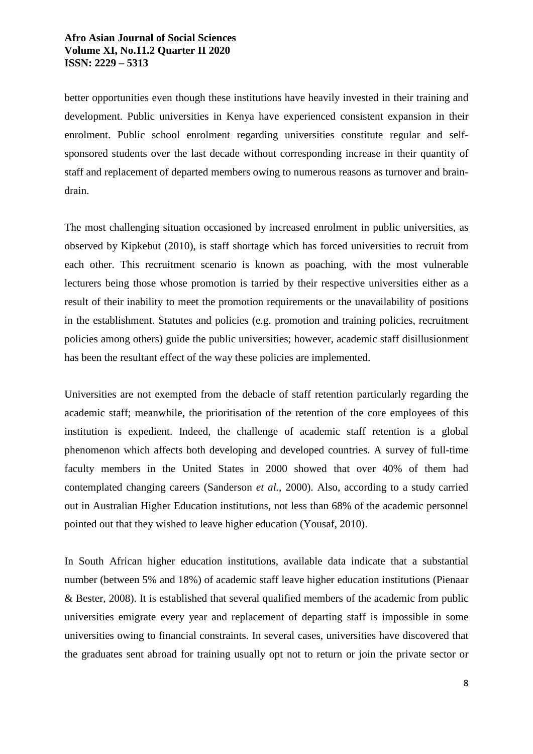better opportunities even though these institutions have heavily invested in their training and development. Public universities in Kenya have experienced consistent expansion in their enrolment. Public school enrolment regarding universities constitute regular and selfsponsored students over the last decade without corresponding increase in their quantity of staff and replacement of departed members owing to numerous reasons as turnover and braindrain.

The most challenging situation occasioned by increased enrolment in public universities, as observed by Kipkebut (2010), is staff shortage which has forced universities to recruit from each other. This recruitment scenario is known as poaching, with the most vulnerable lecturers being those whose promotion is tarried by their respective universities either as a result of their inability to meet the promotion requirements or the unavailability of positions in the establishment. Statutes and policies (e.g. promotion and training policies, recruitment policies among others) guide the public universities; however, academic staff disillusionment has been the resultant effect of the way these policies are implemented.

Universities are not exempted from the debacle of staff retention particularly regarding the academic staff; meanwhile, the prioritisation of the retention of the core employees of this institution is expedient. Indeed, the challenge of academic staff retention is a global phenomenon which affects both developing and developed countries. A survey of full-time faculty members in the United States in 2000 showed that over 40% of them had contemplated changing careers (Sanderson *et al.*, 2000). Also, according to a study carried out in Australian Higher Education institutions, not less than 68% of the academic personnel pointed out that they wished to leave higher education (Yousaf, 2010).

In South African higher education institutions, available data indicate that a substantial number (between 5% and 18%) of academic staff leave higher education institutions (Pienaar & Bester, 2008). It is established that several qualified members of the academic from public universities emigrate every year and replacement of departing staff is impossible in some universities owing to financial constraints. In several cases, universities have discovered that the graduates sent abroad for training usually opt not to return or join the private sector or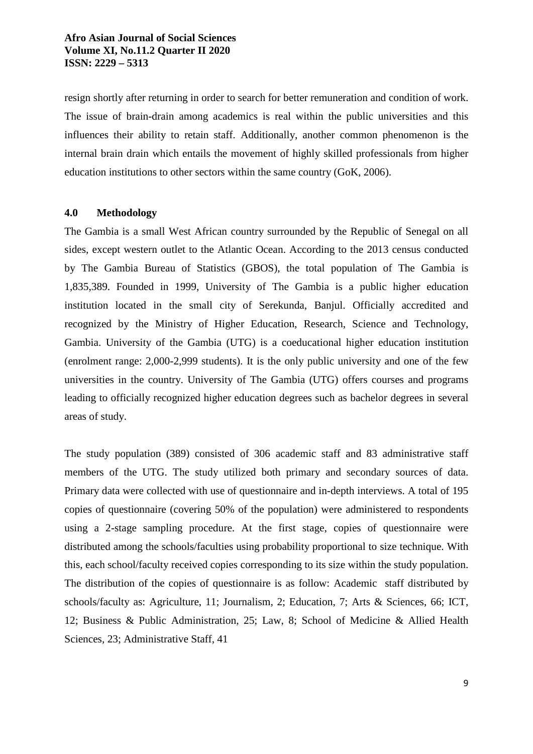resign shortly after returning in order to search for better remuneration and condition of work. The issue of brain-drain among academics is real within the public universities and this influences their ability to retain staff. Additionally, another common phenomenon is the internal brain drain which entails the movement of highly skilled professionals from higher education institutions to other sectors within the same country (GoK, 2006).

### **4.0 Methodology**

The Gambia is a small West African country surrounded by the Republic of Senegal on all sides, except western outlet to the Atlantic Ocean. According to the 2013 census conducted by The Gambia Bureau of Statistics (GBOS), the total population of The Gambia is 1,835,389. Founded in 1999, University of The Gambia is a public higher education institution located in the small city of Serekunda, Banjul. Officially accredited and recognized by the Ministry of Higher Education, Research, Science and Technology, Gambia. University of the Gambia (UTG) is a coeducational higher education institution (enrolment range: 2,000-2,999 students). It is the only public university and one of the few universities in the country. University of The Gambia (UTG) offers courses and programs leading to officially recognized higher education degrees such as bachelor degrees in several areas of study.

The study population (389) consisted of 306 academic staff and 83 administrative staff members of the UTG. The study utilized both primary and secondary sources of data. Primary data were collected with use of questionnaire and in-depth interviews. A total of 195 copies of questionnaire (covering 50% of the population) were administered to respondents using a 2-stage sampling procedure. At the first stage, copies of questionnaire were distributed among the schools/faculties using probability proportional to size technique. With this, each school/faculty received copies corresponding to its size within the study population. The distribution of the copies of questionnaire is as follow: Academic staff distributed by schools/faculty as: Agriculture, 11; Journalism, 2; Education, 7; Arts & Sciences, 66; ICT, 12; Business & Public Administration, 25; Law, 8; School of Medicine & Allied Health Sciences, 23; Administrative Staff, 41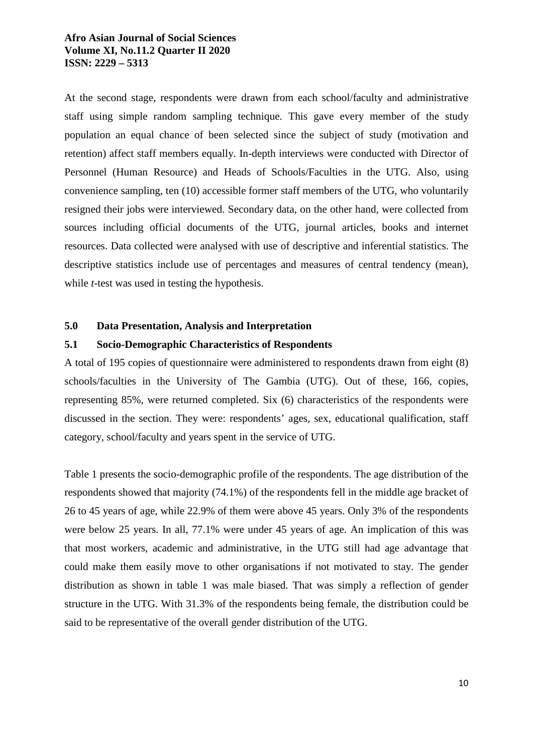At the second stage, respondents were drawn from each school/faculty and administrative staff using simple random sampling technique. This gave every member of the study population an equal chance of been selected since the subject of study (motivation and retention) affect staff members equally. In-depth interviews were conducted with Director of Personnel (Human Resource) and Heads of Schools/Faculties in the UTG. Also, using convenience sampling, ten (10) accessible former staff members of the UTG, who voluntarily resigned their jobs were interviewed. Secondary data, on the other hand, were collected from sources including official documents of the UTG, journal articles, books and internet resources. Data collected were analysed with use of descriptive and inferential statistics. The descriptive statistics include use of percentages and measures of central tendency (mean), while *t*-test was used in testing the hypothesis.

#### **5.0 Data Presentation, Analysis and Interpretation**

#### **5.1 Socio-Demographic Characteristics of Respondents**

A total of 195 copies of questionnaire were administered to respondents drawn from eight (8) schools/faculties in the University of The Gambia (UTG). Out of these, 166, copies, representing 85%, were returned completed. Six (6) characteristics of the respondents were discussed in the section. They were: respondents' ages, sex, educational qualification, staff category, school/faculty and years spent in the service of UTG.

Table 1 presents the socio-demographic profile of the respondents. The age distribution of the respondents showed that majority (74.1%) of the respondents fell in the middle age bracket of 26 to 45 years of age, while 22.9% of them were above 45 years. Only 3% of the respondents were below 25 years. In all, 77.1% were under 45 years of age. An implication of this was that most workers, academic and administrative, in the UTG still had age advantage that could make them easily move to other organisations if not motivated to stay. The gender distribution as shown in table 1 was male biased. That was simply a reflection of gender structure in the UTG. With 31.3% of the respondents being female, the distribution could be said to be representative of the overall gender distribution of the UTG.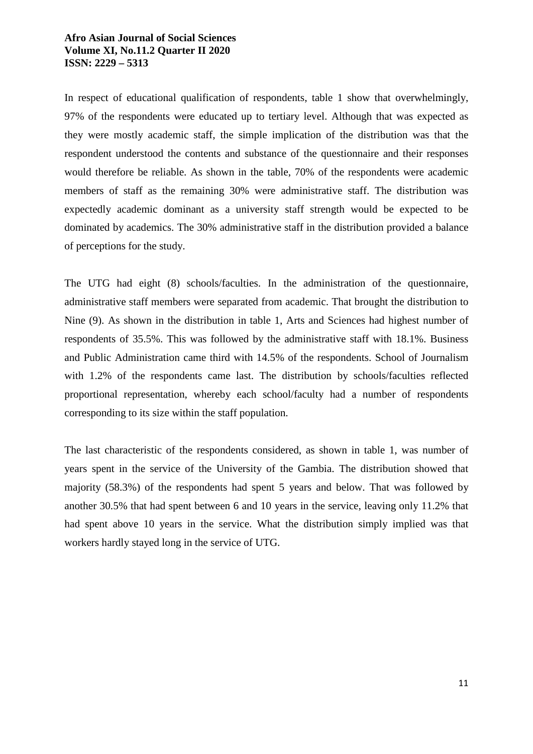In respect of educational qualification of respondents, table 1 show that overwhelmingly, 97% of the respondents were educated up to tertiary level. Although that was expected as they were mostly academic staff, the simple implication of the distribution was that the respondent understood the contents and substance of the questionnaire and their responses would therefore be reliable. As shown in the table, 70% of the respondents were academic members of staff as the remaining 30% were administrative staff. The distribution was expectedly academic dominant as a university staff strength would be expected to be dominated by academics. The 30% administrative staff in the distribution provided a balance of perceptions for the study.

The UTG had eight (8) schools/faculties. In the administration of the questionnaire, administrative staff members were separated from academic. That brought the distribution to Nine (9). As shown in the distribution in table 1, Arts and Sciences had highest number of respondents of 35.5%. This was followed by the administrative staff with 18.1%. Business and Public Administration came third with 14.5% of the respondents. School of Journalism with 1.2% of the respondents came last. The distribution by schools/faculties reflected proportional representation, whereby each school/faculty had a number of respondents corresponding to its size within the staff population.

The last characteristic of the respondents considered, as shown in table 1, was number of years spent in the service of the University of the Gambia. The distribution showed that majority (58.3%) of the respondents had spent 5 years and below. That was followed by another 30.5% that had spent between 6 and 10 years in the service, leaving only 11.2% that had spent above 10 years in the service. What the distribution simply implied was that workers hardly stayed long in the service of UTG.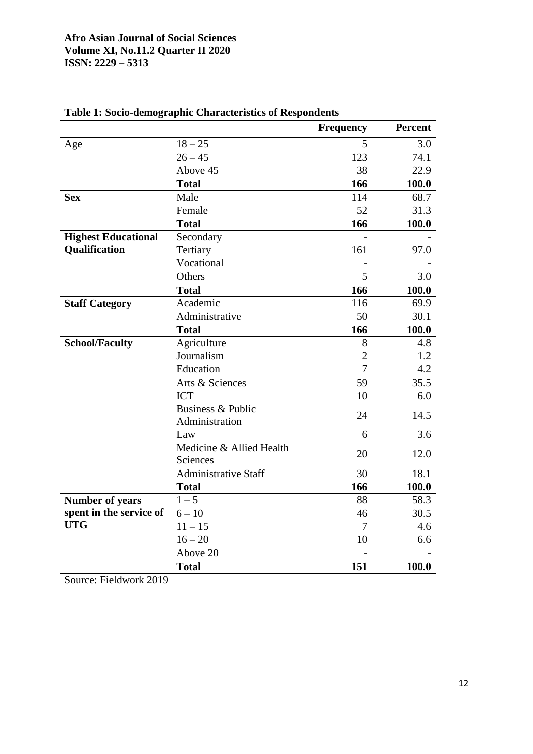|                            |                             | <b>Frequency</b> | <b>Percent</b> |
|----------------------------|-----------------------------|------------------|----------------|
| Age                        | $18 - 25$                   | 5                | 3.0            |
|                            | $26 - 45$                   | 123              | 74.1           |
|                            | Above 45                    | 38               | 22.9           |
|                            | <b>Total</b>                | 166              | 100.0          |
| <b>Sex</b>                 | Male                        | 114              | 68.7           |
|                            | Female                      | 52               | 31.3           |
|                            | <b>Total</b>                | 166              | 100.0          |
| <b>Highest Educational</b> | Secondary                   |                  |                |
| Qualification              | Tertiary                    | 161              | 97.0           |
|                            | Vocational                  |                  |                |
|                            | Others                      | 5                | 3.0            |
|                            | <b>Total</b>                | 166              | 100.0          |
| <b>Staff Category</b>      | Academic                    | 116              | 69.9           |
|                            | Administrative              | 50               | 30.1           |
|                            | <b>Total</b>                | 166              | 100.0          |
| <b>School/Faculty</b>      | Agriculture                 | 8                | 4.8            |
|                            | Journalism                  | $\overline{2}$   | 1.2            |
|                            | Education                   | $\overline{7}$   | 4.2            |
|                            | Arts & Sciences             | 59               | 35.5           |
|                            | <b>ICT</b>                  | 10               | 6.0            |
|                            | Business & Public           | 24               | 14.5           |
|                            | Administration              |                  |                |
|                            | Law                         | 6                | 3.6            |
|                            | Medicine & Allied Health    | 20               | 12.0           |
|                            | Sciences                    |                  |                |
|                            | <b>Administrative Staff</b> | 30               | 18.1           |
|                            | <b>Total</b>                | 166              | 100.0          |
| <b>Number of years</b>     | $1 - 5$                     | 88               | 58.3           |
| spent in the service of    | $6 - 10$                    | 46               | 30.5           |
| <b>UTG</b>                 | $11 - 15$                   | 7                | 4.6            |
|                            | $16 - 20$                   | 10               | 6.6            |
|                            | Above 20                    |                  |                |
|                            | <b>Total</b>                | 151              | 100.0          |

# **Table 1: Socio-demographic Characteristics of Respondents**

Source: Fieldwork 2019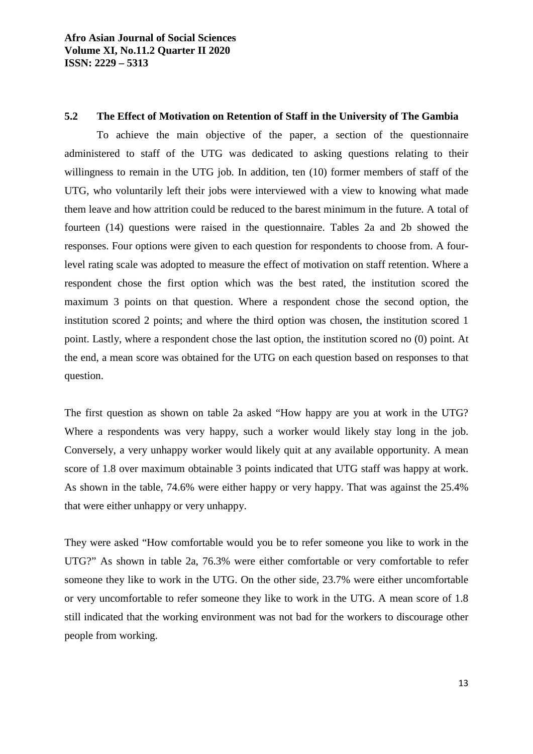### **5.2 The Effect of Motivation on Retention of Staff in the University of The Gambia**

To achieve the main objective of the paper, a section of the questionnaire administered to staff of the UTG was dedicated to asking questions relating to their willingness to remain in the UTG job. In addition, ten (10) former members of staff of the UTG, who voluntarily left their jobs were interviewed with a view to knowing what made them leave and how attrition could be reduced to the barest minimum in the future. A total of fourteen (14) questions were raised in the questionnaire. Tables 2a and 2b showed the responses. Four options were given to each question for respondents to choose from. A fourlevel rating scale was adopted to measure the effect of motivation on staff retention. Where a respondent chose the first option which was the best rated, the institution scored the maximum 3 points on that question. Where a respondent chose the second option, the institution scored 2 points; and where the third option was chosen, the institution scored 1 point. Lastly, where a respondent chose the last option, the institution scored no (0) point. At the end, a mean score was obtained for the UTG on each question based on responses to that question.

The first question as shown on table 2a asked "How happy are you at work in the UTG? Where a respondents was very happy, such a worker would likely stay long in the job. Conversely, a very unhappy worker would likely quit at any available opportunity. A mean score of 1.8 over maximum obtainable 3 points indicated that UTG staff was happy at work. As shown in the table, 74.6% were either happy or very happy. That was against the 25.4% that were either unhappy or very unhappy.

They were asked "How comfortable would you be to refer someone you like to work in the UTG?" As shown in table 2a, 76.3% were either comfortable or very comfortable to refer someone they like to work in the UTG. On the other side, 23.7% were either uncomfortable or very uncomfortable to refer someone they like to work in the UTG. A mean score of 1.8 still indicated that the working environment was not bad for the workers to discourage other people from working.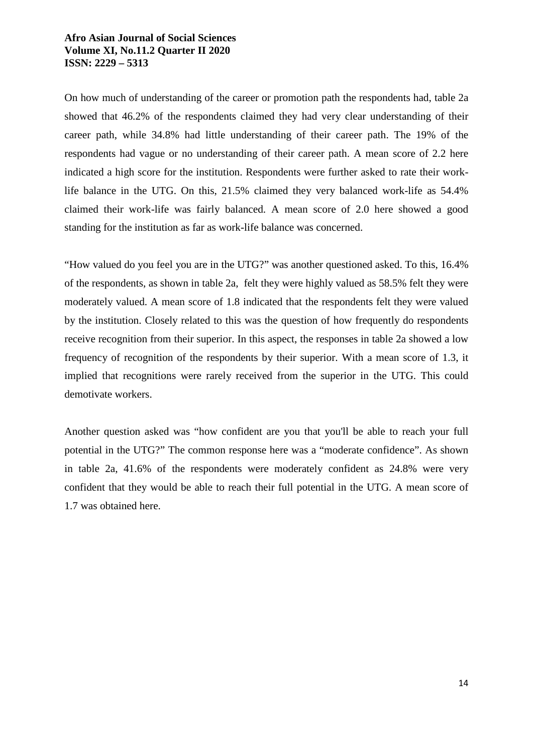On how much of understanding of the career or promotion path the respondents had, table 2a showed that 46.2% of the respondents claimed they had very clear understanding of their career path, while 34.8% had little understanding of their career path. The 19% of the respondents had vague or no understanding of their career path. A mean score of 2.2 here indicated a high score for the institution. Respondents were further asked to rate their worklife balance in the UTG. On this, 21.5% claimed they very balanced work-life as 54.4% claimed their work-life was fairly balanced. A mean score of 2.0 here showed a good standing for the institution as far as work-life balance was concerned.

"How valued do you feel you are in the UTG?" was another questioned asked. To this, 16.4% of the respondents, as shown in table 2a, felt they were highly valued as 58.5% felt they were moderately valued. A mean score of 1.8 indicated that the respondents felt they were valued by the institution. Closely related to this was the question of how frequently do respondents receive recognition from their superior. In this aspect, the responses in table 2a showed a low frequency of recognition of the respondents by their superior. With a mean score of 1.3, it implied that recognitions were rarely received from the superior in the UTG. This could demotivate workers.

Another question asked was "how confident are you that you'll be able to reach your full potential in the UTG?" The common response here was a "moderate confidence". As shown in table 2a, 41.6% of the respondents were moderately confident as 24.8% were very confident that they would be able to reach their full potential in the UTG. A mean score of 1.7 was obtained here.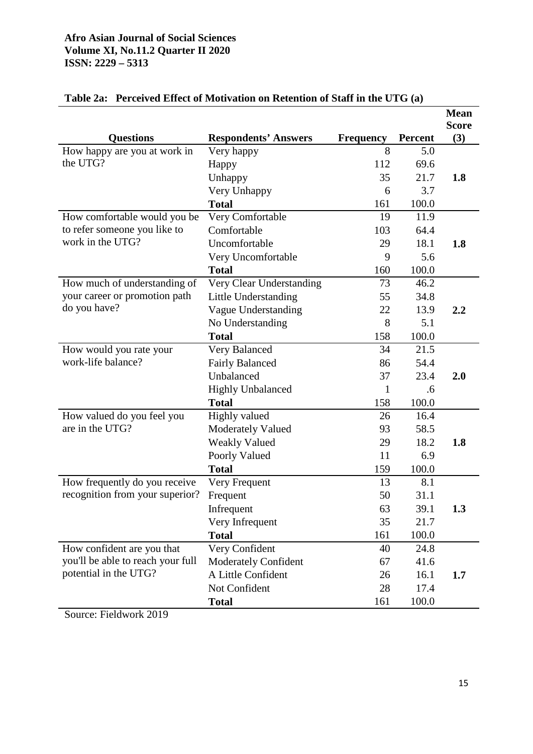|                                   |                             |                  |         | <b>Mean</b>         |
|-----------------------------------|-----------------------------|------------------|---------|---------------------|
| <b>Questions</b>                  | <b>Respondents' Answers</b> | <b>Frequency</b> | Percent | <b>Score</b><br>(3) |
| How happy are you at work in      | Very happy                  | 8                | 5.0     |                     |
| the UTG?                          | Happy                       | 112              | 69.6    |                     |
|                                   | Unhappy                     | 35               | 21.7    | 1.8                 |
|                                   | Very Unhappy                | 6                | 3.7     |                     |
|                                   | <b>Total</b>                | 161              | 100.0   |                     |
| How comfortable would you be      | Very Comfortable            | 19               | 11.9    |                     |
| to refer someone you like to      | Comfortable                 | 103              | 64.4    |                     |
| work in the UTG?                  | Uncomfortable               | 29               | 18.1    | 1.8                 |
|                                   | Very Uncomfortable          | 9                | 5.6     |                     |
|                                   | <b>Total</b>                | 160              | 100.0   |                     |
| How much of understanding of      | Very Clear Understanding    | 73               | 46.2    |                     |
| your career or promotion path     | Little Understanding        | 55               | 34.8    |                     |
| do you have?                      | Vague Understanding         | 22               | 13.9    | 2.2                 |
|                                   | No Understanding            | 8                | 5.1     |                     |
|                                   | <b>Total</b>                | 158              | 100.0   |                     |
| How would you rate your           | Very Balanced               | 34               | 21.5    |                     |
| work-life balance?                | <b>Fairly Balanced</b>      | 86               | 54.4    |                     |
|                                   | Unbalanced                  | 37               | 23.4    | 2.0                 |
|                                   | <b>Highly Unbalanced</b>    | 1                | .6      |                     |
|                                   | <b>Total</b>                | 158              | 100.0   |                     |
| How valued do you feel you        | Highly valued               | 26               | 16.4    |                     |
| are in the UTG?                   | <b>Moderately Valued</b>    | 93               | 58.5    |                     |
|                                   | <b>Weakly Valued</b>        | 29               | 18.2    | 1.8                 |
|                                   | Poorly Valued               | 11               | 6.9     |                     |
|                                   | <b>Total</b>                | 159              | 100.0   |                     |
| How frequently do you receive     | Very Frequent               | 13               | 8.1     |                     |
| recognition from your superior?   | Frequent                    | 50               | 31.1    |                     |
|                                   | Infrequent                  | 63               | 39.1    | 1.3                 |
|                                   | Very Infrequent             | 35               | 21.7    |                     |
|                                   | <b>Total</b>                | 161              | 100.0   |                     |
| How confident are you that        | Very Confident              | 40               | 24.8    |                     |
| you'll be able to reach your full | Moderately Confident        | 67               | 41.6    |                     |
| potential in the UTG?             | A Little Confident          | 26               | 16.1    | 1.7                 |
|                                   | Not Confident               | 28               | 17.4    |                     |
|                                   | <b>Total</b>                | 161              | 100.0   |                     |

# **Table 2a: Perceived Effect of Motivation on Retention of Staff in the UTG (a)**

Source: Fieldwork 2019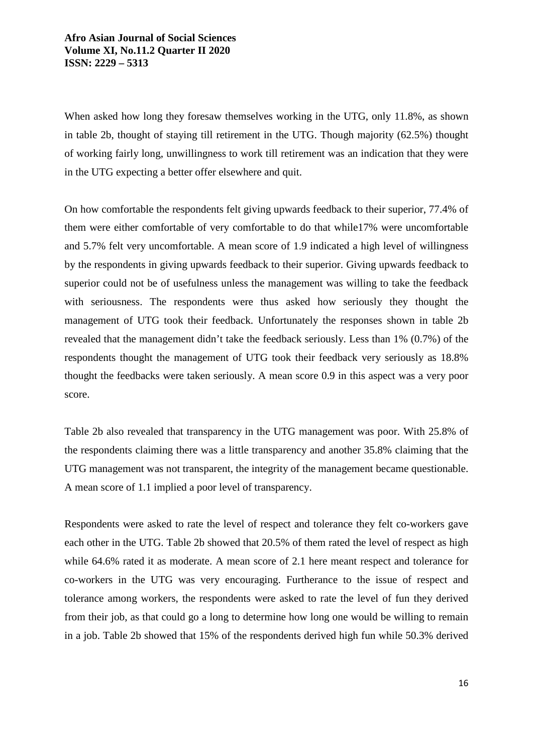When asked how long they foresaw themselves working in the UTG, only 11.8%, as shown in table 2b, thought of staying till retirement in the UTG. Though majority (62.5%) thought of working fairly long, unwillingness to work till retirement was an indication that they were in the UTG expecting a better offer elsewhere and quit.

On how comfortable the respondents felt giving upwards feedback to their superior, 77.4% of them were either comfortable of very comfortable to do that while17% were uncomfortable and 5.7% felt very uncomfortable. A mean score of 1.9 indicated a high level of willingness by the respondents in giving upwards feedback to their superior. Giving upwards feedback to superior could not be of usefulness unless the management was willing to take the feedback with seriousness. The respondents were thus asked how seriously they thought the management of UTG took their feedback. Unfortunately the responses shown in table 2b revealed that the management didn't take the feedback seriously. Less than 1% (0.7%) of the respondents thought the management of UTG took their feedback very seriously as 18.8% thought the feedbacks were taken seriously. A mean score 0.9 in this aspect was a very poor score.

Table 2b also revealed that transparency in the UTG management was poor. With 25.8% of the respondents claiming there was a little transparency and another 35.8% claiming that the UTG management was not transparent, the integrity of the management became questionable. A mean score of 1.1 implied a poor level of transparency.

Respondents were asked to rate the level of respect and tolerance they felt co-workers gave each other in the UTG. Table 2b showed that 20.5% of them rated the level of respect as high while 64.6% rated it as moderate. A mean score of 2.1 here meant respect and tolerance for co-workers in the UTG was very encouraging. Furtherance to the issue of respect and tolerance among workers, the respondents were asked to rate the level of fun they derived from their job, as that could go a long to determine how long one would be willing to remain in a job. Table 2b showed that 15% of the respondents derived high fun while 50.3% derived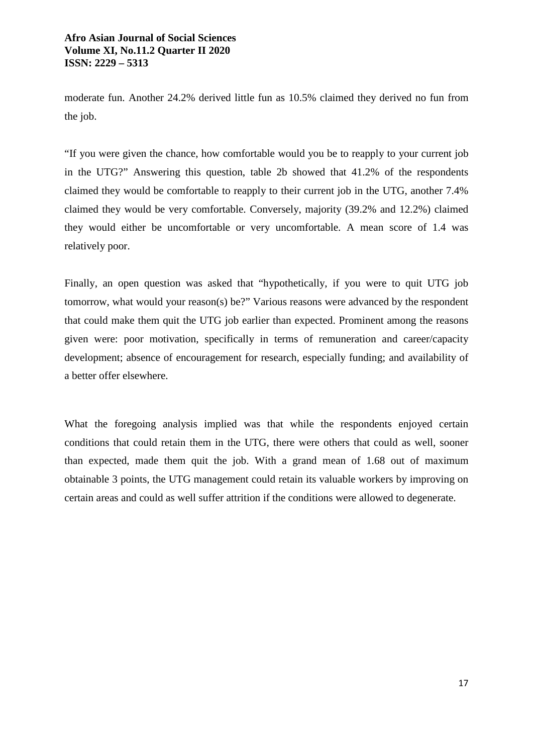moderate fun. Another 24.2% derived little fun as 10.5% claimed they derived no fun from the job.

"If you were given the chance, how comfortable would you be to reapply to your current job in the UTG?" Answering this question, table 2b showed that 41.2% of the respondents claimed they would be comfortable to reapply to their current job in the UTG, another 7.4% claimed they would be very comfortable. Conversely, majority (39.2% and 12.2%) claimed they would either be uncomfortable or very uncomfortable. A mean score of 1.4 was relatively poor.

Finally, an open question was asked that "hypothetically, if you were to quit UTG job tomorrow, what would your reason(s) be?" Various reasons were advanced by the respondent that could make them quit the UTG job earlier than expected. Prominent among the reasons given were: poor motivation, specifically in terms of remuneration and career/capacity development; absence of encouragement for research, especially funding; and availability of a better offer elsewhere.

What the foregoing analysis implied was that while the respondents enjoyed certain conditions that could retain them in the UTG, there were others that could as well, sooner than expected, made them quit the job. With a grand mean of 1.68 out of maximum obtainable 3 points, the UTG management could retain its valuable workers by improving on certain areas and could as well suffer attrition if the conditions were allowed to degenerate.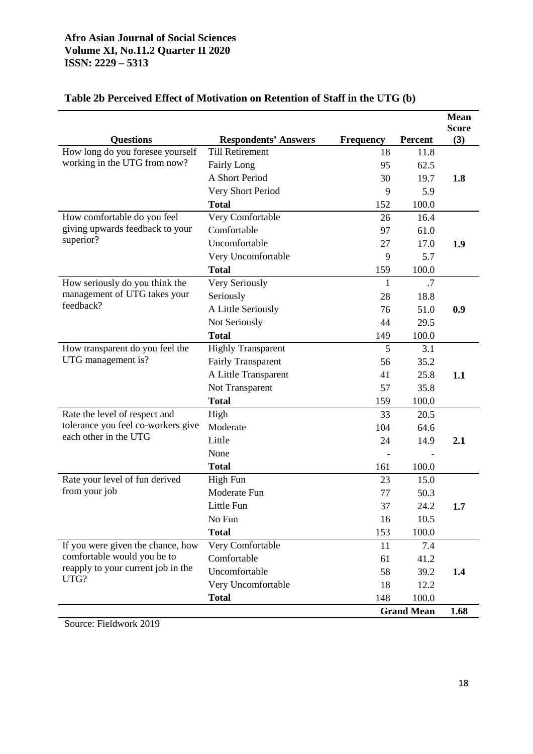|                                                                           |                             |                  |                   | <b>Mean</b>         |
|---------------------------------------------------------------------------|-----------------------------|------------------|-------------------|---------------------|
| <b>Questions</b>                                                          | <b>Respondents' Answers</b> | <b>Frequency</b> | <b>Percent</b>    | <b>Score</b><br>(3) |
| How long do you foresee yourself                                          | <b>Till Retirement</b>      | 18               | 11.8              |                     |
| working in the UTG from now?                                              | <b>Fairly Long</b>          | 95               | 62.5              |                     |
|                                                                           | A Short Period              | 30               | 19.7              | 1.8                 |
|                                                                           | Very Short Period           | 9                | 5.9               |                     |
|                                                                           | <b>Total</b>                | 152              | 100.0             |                     |
| How comfortable do you feel                                               | Very Comfortable            | 26               | 16.4              |                     |
| giving upwards feedback to your                                           | Comfortable                 | 97               | 61.0              |                     |
| superior?                                                                 | Uncomfortable               | 27               | 17.0              | 1.9                 |
|                                                                           | Very Uncomfortable          | 9                | 5.7               |                     |
|                                                                           | <b>Total</b>                | 159              | 100.0             |                     |
| How seriously do you think the                                            | Very Seriously              | 1                | .7                |                     |
| management of UTG takes your                                              | Seriously                   | 28               | 18.8              |                     |
| feedback?                                                                 | A Little Seriously          | 76               | 51.0              | 0.9                 |
|                                                                           | Not Seriously               | 44               | 29.5              |                     |
|                                                                           | <b>Total</b>                | 149              | 100.0             |                     |
| How transparent do you feel the                                           | <b>Highly Transparent</b>   | 5                | 3.1               |                     |
| UTG management is?                                                        | <b>Fairly Transparent</b>   | 56               | 35.2              |                     |
|                                                                           | A Little Transparent        | 41               | 25.8              | 1.1                 |
|                                                                           | Not Transparent             | 57               | 35.8              |                     |
|                                                                           | <b>Total</b>                | 159              | 100.0             |                     |
| Rate the level of respect and                                             | High                        | 33               | 20.5              |                     |
| tolerance you feel co-workers give<br>each other in the UTG               | Moderate                    | 104              | 64.6              |                     |
|                                                                           | Little                      | 24               | 14.9              | 2.1                 |
|                                                                           | None                        |                  |                   |                     |
|                                                                           | <b>Total</b>                | 161              | 100.0             |                     |
| Rate your level of fun derived                                            | <b>High Fun</b>             | 23               | 15.0              |                     |
| from your job                                                             | Moderate Fun                | 77               | 50.3              |                     |
|                                                                           | Little Fun                  | 37               | 24.2              | 1.7                 |
|                                                                           | No Fun                      | 16               | 10.5              |                     |
|                                                                           | <b>Total</b>                | 153              | 100.0             |                     |
| If you were given the chance, how                                         | Very Comfortable            | 11               | 7.4               |                     |
| comfortable would you be to<br>reapply to your current job in the<br>UTG? | Comfortable                 | 61               | 41.2              |                     |
|                                                                           | Uncomfortable               | 58               | 39.2              | 1.4                 |
|                                                                           | Very Uncomfortable          | 18               | 12.2              |                     |
|                                                                           | <b>Total</b>                | 148              | 100.0             |                     |
|                                                                           |                             |                  | <b>Grand Mean</b> | 1.68                |

# **Table 2b Perceived Effect of Motivation on Retention of Staff in the UTG (b)**

Source: Fieldwork 2019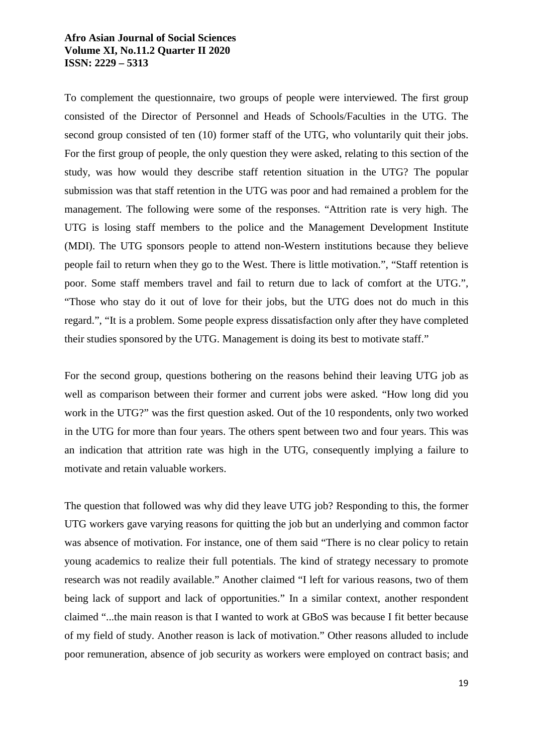To complement the questionnaire, two groups of people were interviewed. The first group consisted of the Director of Personnel and Heads of Schools/Faculties in the UTG. The second group consisted of ten (10) former staff of the UTG, who voluntarily quit their jobs. For the first group of people, the only question they were asked, relating to this section of the study, was how would they describe staff retention situation in the UTG? The popular submission was that staff retention in the UTG was poor and had remained a problem for the management. The following were some of the responses. "Attrition rate is very high. The UTG is losing staff members to the police and the Management Development Institute (MDI). The UTG sponsors people to attend non-Western institutions because they believe people fail to return when they go to the West. There is little motivation.", "Staff retention is poor. Some staff members travel and fail to return due to lack of comfort at the UTG.", "Those who stay do it out of love for their jobs, but the UTG does not do much in this regard.", "It is a problem. Some people express dissatisfaction only after they have completed their studies sponsored by the UTG. Management is doing its best to motivate staff."

For the second group, questions bothering on the reasons behind their leaving UTG job as well as comparison between their former and current jobs were asked. "How long did you work in the UTG?" was the first question asked. Out of the 10 respondents, only two worked in the UTG for more than four years. The others spent between two and four years. This was an indication that attrition rate was high in the UTG, consequently implying a failure to motivate and retain valuable workers.

The question that followed was why did they leave UTG job? Responding to this, the former UTG workers gave varying reasons for quitting the job but an underlying and common factor was absence of motivation. For instance, one of them said "There is no clear policy to retain young academics to realize their full potentials. The kind of strategy necessary to promote research was not readily available." Another claimed "I left for various reasons, two of them being lack of support and lack of opportunities." In a similar context, another respondent claimed "...the main reason is that I wanted to work at GBoS was because I fit better because of my field of study. Another reason is lack of motivation." Other reasons alluded to include poor remuneration, absence of job security as workers were employed on contract basis; and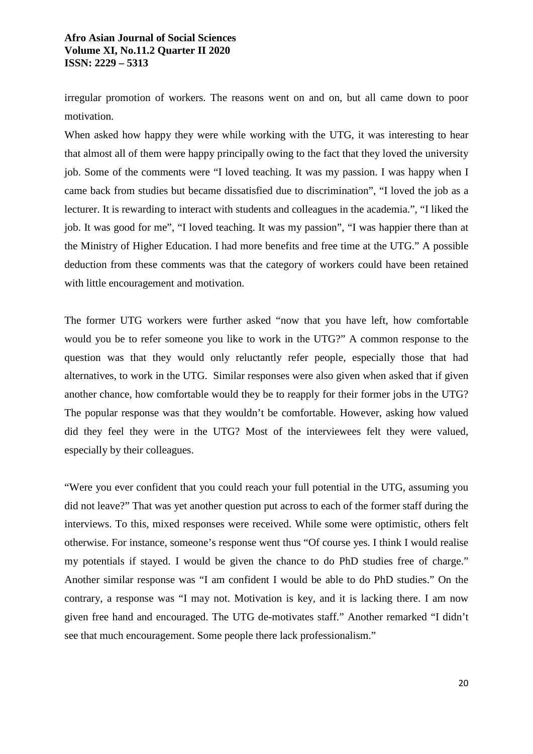irregular promotion of workers. The reasons went on and on, but all came down to poor motivation.

When asked how happy they were while working with the UTG, it was interesting to hear that almost all of them were happy principally owing to the fact that they loved the university job. Some of the comments were "I loved teaching. It was my passion. I was happy when I came back from studies but became dissatisfied due to discrimination", "I loved the job as a lecturer. It is rewarding to interact with students and colleagues in the academia.", "I liked the job. It was good for me", "I loved teaching. It was my passion", "I was happier there than at the Ministry of Higher Education. I had more benefits and free time at the UTG." A possible deduction from these comments was that the category of workers could have been retained with little encouragement and motivation.

The former UTG workers were further asked "now that you have left, how comfortable would you be to refer someone you like to work in the UTG?" A common response to the question was that they would only reluctantly refer people, especially those that had alternatives, to work in the UTG. Similar responses were also given when asked that if given another chance, how comfortable would they be to reapply for their former jobs in the UTG? The popular response was that they wouldn't be comfortable. However, asking how valued did they feel they were in the UTG? Most of the interviewees felt they were valued, especially by their colleagues.

"Were you ever confident that you could reach your full potential in the UTG, assuming you did not leave?" That was yet another question put across to each of the former staff during the interviews. To this, mixed responses were received. While some were optimistic, others felt otherwise. For instance, someone's response went thus "Of course yes. I think I would realise my potentials if stayed. I would be given the chance to do PhD studies free of charge." Another similar response was "I am confident I would be able to do PhD studies." On the contrary, a response was "I may not. Motivation is key, and it is lacking there. I am now given free hand and encouraged. The UTG de-motivates staff." Another remarked "I didn't see that much encouragement. Some people there lack professionalism."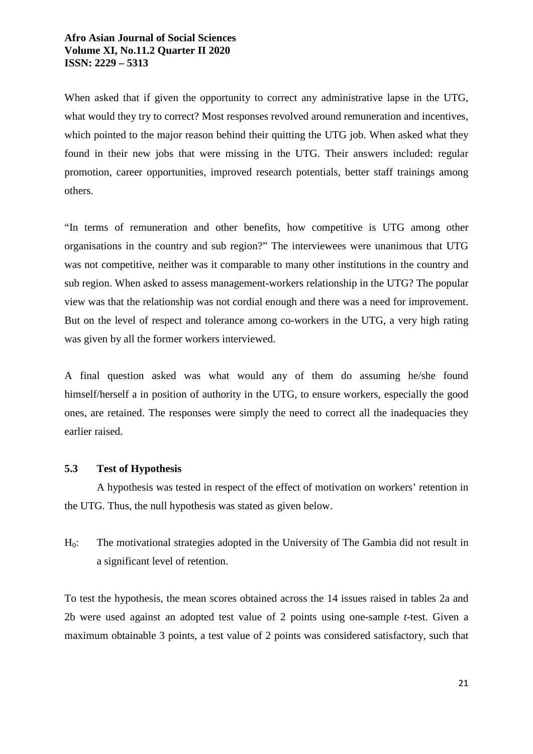When asked that if given the opportunity to correct any administrative lapse in the UTG, what would they try to correct? Most responses revolved around remuneration and incentives, which pointed to the major reason behind their quitting the UTG job. When asked what they found in their new jobs that were missing in the UTG. Their answers included: regular promotion, career opportunities, improved research potentials, better staff trainings among others.

"In terms of remuneration and other benefits, how competitive is UTG among other organisations in the country and sub region?" The interviewees were unanimous that UTG was not competitive, neither was it comparable to many other institutions in the country and sub region. When asked to assess management-workers relationship in the UTG? The popular view was that the relationship was not cordial enough and there was a need for improvement. But on the level of respect and tolerance among co-workers in the UTG, a very high rating was given by all the former workers interviewed.

A final question asked was what would any of them do assuming he/she found himself/herself a in position of authority in the UTG, to ensure workers, especially the good ones, are retained. The responses were simply the need to correct all the inadequacies they earlier raised.

### **5.3 Test of Hypothesis**

A hypothesis was tested in respect of the effect of motivation on workers' retention in the UTG. Thus, the null hypothesis was stated as given below.

H0: The motivational strategies adopted in the University of The Gambia did not result in a significant level of retention.

To test the hypothesis, the mean scores obtained across the 14 issues raised in tables 2a and 2b were used against an adopted test value of 2 points using one-sample *t*-test. Given a maximum obtainable 3 points, a test value of 2 points was considered satisfactory, such that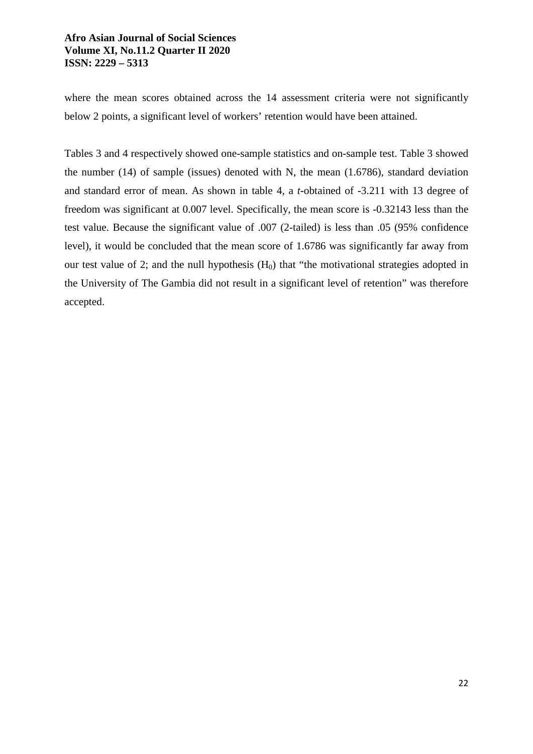where the mean scores obtained across the 14 assessment criteria were not significantly below 2 points, a significant level of workers' retention would have been attained.

Tables 3 and 4 respectively showed one-sample statistics and on-sample test. Table 3 showed the number (14) of sample (issues) denoted with N, the mean (1.6786), standard deviation and standard error of mean. As shown in table 4, a *t*-obtained of -3.211 with 13 degree of freedom was significant at 0.007 level. Specifically, the mean score is -0.32143 less than the test value. Because the significant value of .007 (2-tailed) is less than .05 (95% confidence level), it would be concluded that the mean score of 1.6786 was significantly far away from our test value of 2; and the null hypothesis  $(H_0)$  that "the motivational strategies adopted in the University of The Gambia did not result in a significant level of retention" was therefore accepted.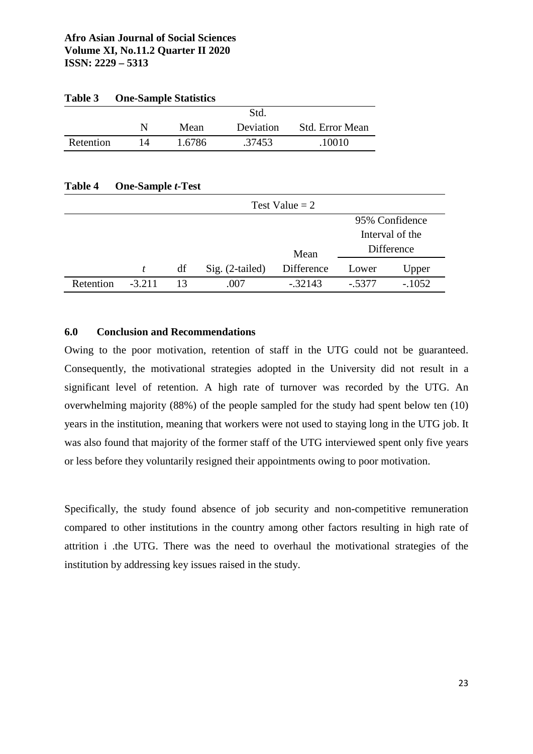| Table 3   |    | <b>One-Sample Statistics</b> |           |                        |
|-----------|----|------------------------------|-----------|------------------------|
|           |    |                              | Std.      |                        |
|           | N  | Mean                         | Deviation | <b>Std. Error Mean</b> |
| Retention | 14 | 1.6786                       | .37453    | .10010                 |

### **Table 4 One-Sample** *t-***Test**

|           | Test Value $= 2$ |    |                   |            |                 |          |  |
|-----------|------------------|----|-------------------|------------|-----------------|----------|--|
|           |                  |    |                   |            | 95% Confidence  |          |  |
|           |                  |    |                   |            | Interval of the |          |  |
|           |                  |    |                   | Mean       | Difference      |          |  |
|           | t.               | df | $Sig. (2-tailed)$ | Difference | Lower           | Upper    |  |
| Retention | $-3.211$         | 13 | .007              | $-.32143$  | $-5377$         | $-.1052$ |  |

### **6.0 Conclusion and Recommendations**

Owing to the poor motivation, retention of staff in the UTG could not be guaranteed. Consequently, the motivational strategies adopted in the University did not result in a significant level of retention. A high rate of turnover was recorded by the UTG. An overwhelming majority (88%) of the people sampled for the study had spent below ten (10) years in the institution, meaning that workers were not used to staying long in the UTG job. It was also found that majority of the former staff of the UTG interviewed spent only five years or less before they voluntarily resigned their appointments owing to poor motivation.

Specifically, the study found absence of job security and non-competitive remuneration compared to other institutions in the country among other factors resulting in high rate of attrition i .the UTG. There was the need to overhaul the motivational strategies of the institution by addressing key issues raised in the study.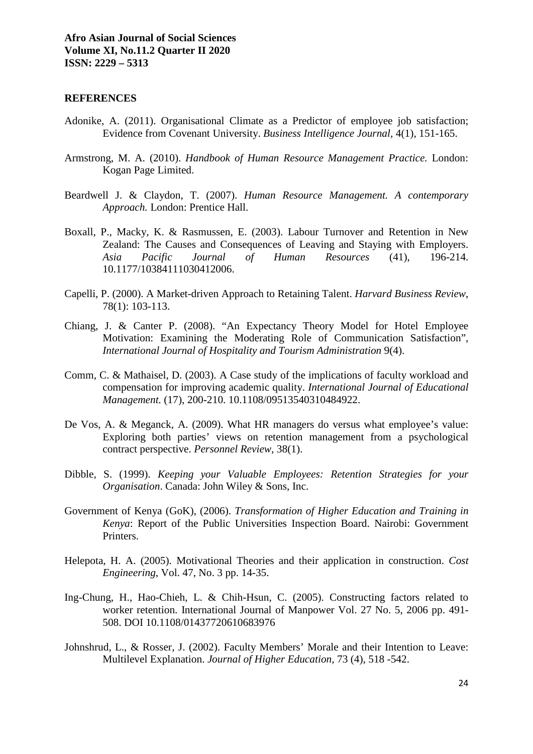#### **REFERENCES**

- Adonike, A. (2011). Organisational Climate as a Predictor of employee job satisfaction; Evidence from Covenant University. *Business Intelligence Journal,* 4(1), 151-165.
- Armstrong, M. A. (2010). *Handbook of Human Resource Management Practice.* London: Kogan Page Limited.
- Beardwell J. & Claydon, T. (2007). *Human Resource Management. A contemporary Approach.* London: Prentice Hall.
- Boxall, P., Macky, K. & Rasmussen, E. (2003). Labour Turnover and Retention in New Zealand: The Causes and Consequences of Leaving and Staying with Employers. *Asia Pacific Journal of Human Resources* (41), 196-214. 10.1177/10384111030412006.
- Capelli, P. (2000). A Market-driven Approach to Retaining Talent. *Harvard Business Review*, 78(1): 103-113.
- Chiang, J. & Canter P. (2008). "An Expectancy Theory Model for Hotel Employee Motivation: Examining the Moderating Role of Communication Satisfaction", *International Journal of Hospitality and Tourism Administration* 9(4).
- Comm, C. & Mathaisel, D. (2003). A Case study of the implications of faculty workload and compensation for improving academic quality. *International Journal of Educational Management.* (17), 200-210. 10.1108/09513540310484922.
- De Vos, A. & Meganck, A. (2009). What HR managers do versus what employee's value: Exploring both parties' views on retention management from a psychological contract perspective. *Personnel Review*, 38(1).
- Dibble, S. (1999). *Keeping your Valuable Employees: Retention Strategies for your Organisation*. Canada: John Wiley & Sons, Inc.
- Government of Kenya (GoK), (2006). *Transformation of Higher Education and Training in Kenya*: Report of the Public Universities Inspection Board. Nairobi: Government Printers.
- Helepota, H. A. (2005). Motivational Theories and their application in construction. *Cost Engineering*, Vol. 47, No. 3 pp. 14-35.
- Ing-Chung, H., Hao-Chieh, L. & Chih-Hsun, C. (2005). Constructing factors related to worker retention. International Journal of Manpower Vol. 27 No. 5, 2006 pp. 491- 508. DOI 10.1108/01437720610683976
- Johnshrud, L., & Rosser, J. (2002). Faculty Members' Morale and their Intention to Leave: Multilevel Explanation. *Journal of Higher Education,* 73 (4), 518 -542.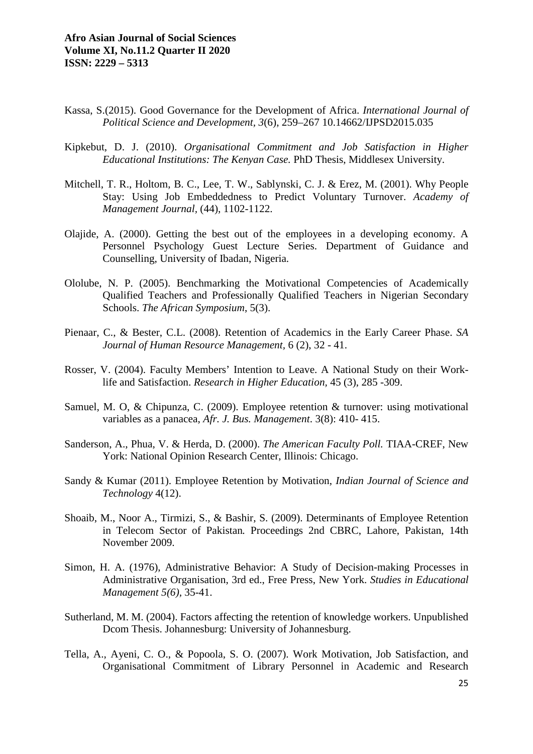- Kassa, S.(2015). Good Governance for the Development of Africa. *International Journal of Political Science and Development, 3*(6), 259–267 10.14662/IJPSD2015.035
- Kipkebut, D. J. (2010). *Organisational Commitment and Job Satisfaction in Higher Educational Institutions: The Kenyan Case.* PhD Thesis, Middlesex University.
- Mitchell, T. R., Holtom, B. C., Lee, T. W., Sablynski, C. J. & Erez, M. (2001). Why People Stay: Using Job Embeddedness to Predict Voluntary Turnover. *Academy of Management Journal,* (44), 1102-1122.
- Olajide, A. (2000). Getting the best out of the employees in a developing economy. A Personnel Psychology Guest Lecture Series. Department of Guidance and Counselling, University of Ibadan, Nigeria.
- Ololube, N. P. (2005). Benchmarking the Motivational Competencies of Academically Qualified Teachers and Professionally Qualified Teachers in Nigerian Secondary Schools. *The African Symposium*, 5(3).
- Pienaar, C., & Bester, C.L. (2008). Retention of Academics in the Early Career Phase. *SA Journal of Human Resource Management,* 6 (2), 32 - 41.
- Rosser, V. (2004). Faculty Members' Intention to Leave. A National Study on their Worklife and Satisfaction. *Research in Higher Education,* 45 (3), 285 -309.
- Samuel, M. O, & Chipunza, C. (2009). Employee retention & turnover: using motivational variables as a panacea, *Afr. J. Bus. Management*. 3(8): 410- 415.
- Sanderson, A., Phua, V. & Herda, D. (2000). *The American Faculty Poll.* TIAA-CREF, New York: National Opinion Research Center, Illinois: Chicago.
- Sandy & Kumar (2011). Employee Retention by Motivation, *Indian Journal of Science and Technology* 4(12).
- Shoaib, M., Noor A., Tirmizi, S., & Bashir, S. (2009). Determinants of Employee Retention in Telecom Sector of Pakistan*.* Proceedings 2nd CBRC, Lahore, Pakistan, 14th November 2009.
- Simon, H. A. (1976), Administrative Behavior: A Study of Decision-making Processes in Administrative Organisation, 3rd ed., Free Press, New York. *Studies in Educational Management 5(6),* 35-41.
- Sutherland, M. M. (2004). Factors affecting the retention of knowledge workers. Unpublished Dcom Thesis. Johannesburg: University of Johannesburg.
- Tella, A., Ayeni, C. O., & Popoola, S. O. (2007). Work Motivation, Job Satisfaction, and Organisational Commitment of Library Personnel in Academic and Research